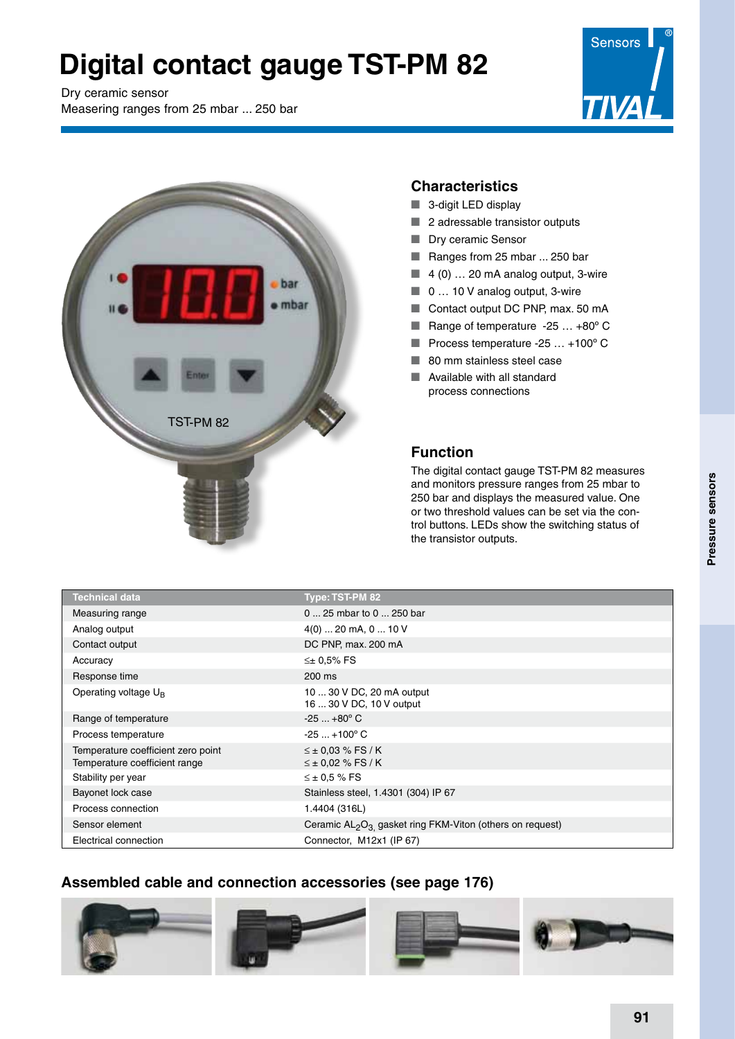# **Digital contact gauge TST-PM 82**

Dry ceramic sensor

Measering ranges from 25 mbar ... 250 bar





#### **Characteristics**

- $\blacksquare$  3-digit LED display
- $\blacksquare$  2 adressable transistor outputs
- **Dry ceramic Sensor**
- Ranges from 25 mbar ... 250 bar
- $\blacksquare$  4 (0) ... 20 mA analog output, 3-wire
- $\Box$  0 ... 10 V analog output, 3-wire
- Contact output DC PNP, max. 50 mA
- Range of temperature  $-25$  ...  $+80^{\circ}$  C
- Process temperature -25  $\dots$  +100 $^{\circ}$  C
- $\blacksquare$  80 mm stainless steel case
- $\blacksquare$  Available with all standard process connections

### **Function**

The digital contact gauge TST-PM 82 measures and monitors pressure ranges from 25 mbar to 250 bar and displays the measured value. One or two threshold values can be set via the control buttons. LEDs show the switching status of the transistor outputs.

| <b>Technical data</b>                                               | <b>Type: TST-PM 82</b>                                                           |  |
|---------------------------------------------------------------------|----------------------------------------------------------------------------------|--|
| Measuring range                                                     | 0  25 mbar to 0  250 bar                                                         |  |
| Analog output                                                       | $4(0)$ 20 mA, 0  10 V                                                            |  |
| Contact output                                                      | DC PNP, max. 200 mA                                                              |  |
| Accuracy                                                            | $\leq \pm 0.5\%$ FS                                                              |  |
| Response time                                                       | 200 ms                                                                           |  |
| Operating voltage U <sub>B</sub>                                    | 10  30 V DC, 20 mA output<br>16  30 V DC, 10 V output                            |  |
| Range of temperature                                                | $-25+80^{\circ}$ C                                                               |  |
| Process temperature                                                 | $-25+100^{\circ}$ C                                                              |  |
| Temperature coefficient zero point<br>Temperature coefficient range | $\leq \pm 0.03$ % FS / K<br>$\leq \pm 0.02$ % FS / K                             |  |
| Stability per year                                                  | $\leq \pm 0.5$ % FS                                                              |  |
| Bayonet lock case                                                   | Stainless steel, 1.4301 (304) IP 67                                              |  |
| Process connection                                                  | 1.4404 (316L)                                                                    |  |
| Sensor element                                                      | Ceramic AL <sub>2</sub> O <sub>3</sub> gasket ring FKM-Viton (others on request) |  |
| Electrical connection                                               | Connector, M12x1 (IP 67)                                                         |  |

### **Assembled cable and connection accessories (see page 176)**